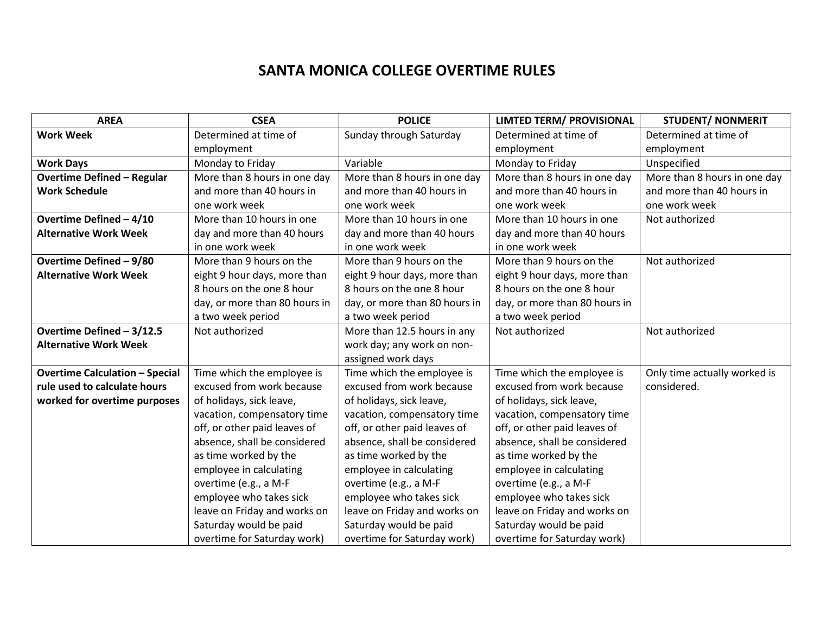## **SANTA MONICA COLLEGE OVERTIME RULES**

| <b>AREA</b>                           | <b>CSEA</b>                   | <b>POLICE</b>                 | <b>LIMTED TERM/ PROVISIONAL</b> | <b>STUDENT/ NONMERIT</b>     |
|---------------------------------------|-------------------------------|-------------------------------|---------------------------------|------------------------------|
| <b>Work Week</b>                      | Determined at time of         | Sunday through Saturday       | Determined at time of           | Determined at time of        |
|                                       | employment                    |                               | employment                      | employment                   |
| <b>Work Days</b>                      | Monday to Friday              | Variable                      | Monday to Friday                | Unspecified                  |
| <b>Overtime Defined - Regular</b>     | More than 8 hours in one day  | More than 8 hours in one day  | More than 8 hours in one day    | More than 8 hours in one day |
| <b>Work Schedule</b>                  | and more than 40 hours in     | and more than 40 hours in     | and more than 40 hours in       | and more than 40 hours in    |
|                                       | one work week                 | one work week                 | one work week                   | one work week                |
| Overtime Defined - 4/10               | More than 10 hours in one     | More than 10 hours in one     | More than 10 hours in one       | Not authorized               |
| <b>Alternative Work Week</b>          | day and more than 40 hours    | day and more than 40 hours    | day and more than 40 hours      |                              |
|                                       | in one work week              | in one work week              | in one work week                |                              |
| Overtime Defined - 9/80               | More than 9 hours on the      | More than 9 hours on the      | More than 9 hours on the        | Not authorized               |
| <b>Alternative Work Week</b>          | eight 9 hour days, more than  | eight 9 hour days, more than  | eight 9 hour days, more than    |                              |
|                                       | 8 hours on the one 8 hour     | 8 hours on the one 8 hour     | 8 hours on the one 8 hour       |                              |
|                                       | day, or more than 80 hours in | day, or more than 80 hours in | day, or more than 80 hours in   |                              |
|                                       | a two week period             | a two week period             | a two week period               |                              |
| Overtime Defined - 3/12.5             | Not authorized                | More than 12.5 hours in any   | Not authorized                  | Not authorized               |
| <b>Alternative Work Week</b>          |                               | work day; any work on non-    |                                 |                              |
|                                       |                               | assigned work days            |                                 |                              |
| <b>Overtime Calculation - Special</b> | Time which the employee is    | Time which the employee is    | Time which the employee is      | Only time actually worked is |
| rule used to calculate hours          | excused from work because     | excused from work because     | excused from work because       | considered.                  |
| worked for overtime purposes          | of holidays, sick leave,      | of holidays, sick leave,      | of holidays, sick leave,        |                              |
|                                       | vacation, compensatory time   | vacation, compensatory time   | vacation, compensatory time     |                              |
|                                       | off, or other paid leaves of  | off, or other paid leaves of  | off, or other paid leaves of    |                              |
|                                       | absence, shall be considered  | absence, shall be considered  | absence, shall be considered    |                              |
|                                       | as time worked by the         | as time worked by the         | as time worked by the           |                              |
|                                       | employee in calculating       | employee in calculating       | employee in calculating         |                              |
|                                       | overtime (e.g., a M-F         | overtime (e.g., a M-F         | overtime (e.g., a M-F           |                              |
|                                       | employee who takes sick       | employee who takes sick       | employee who takes sick         |                              |
|                                       | leave on Friday and works on  | leave on Friday and works on  | leave on Friday and works on    |                              |
|                                       | Saturday would be paid        | Saturday would be paid        | Saturday would be paid          |                              |
|                                       | overtime for Saturday work)   | overtime for Saturday work)   | overtime for Saturday work)     |                              |